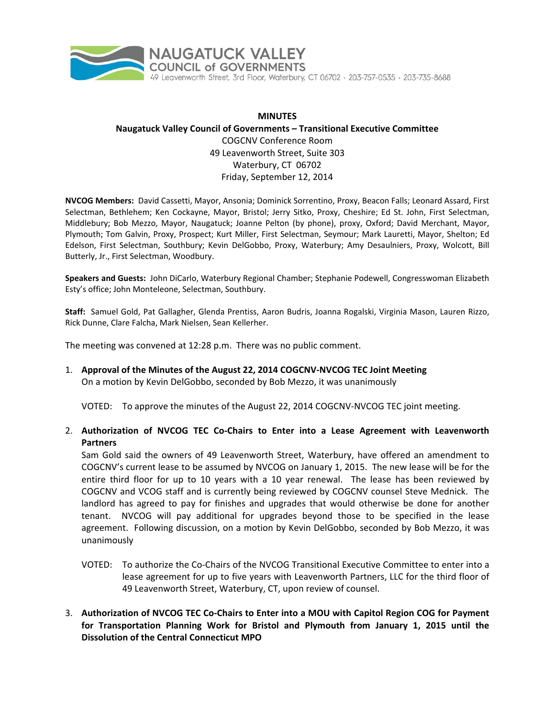

# **MINUTES Naugatuck Valley Council of Governments – Transitional Executive Committee** COGCNV Conference Room 49 Leavenworth Street, Suite 303 Waterbury, CT 06702 Friday, September 12, 2014

**NVCOG Members:** David Cassetti, Mayor, Ansonia; Dominick Sorrentino, Proxy, Beacon Falls; Leonard Assard, First Selectman, Bethlehem; Ken Cockayne, Mayor, Bristol; Jerry Sitko, Proxy, Cheshire; Ed St. John, First Selectman, Middlebury; Bob Mezzo, Mayor, Naugatuck; Joanne Pelton (by phone), proxy, Oxford; David Merchant, Mayor, Plymouth; Tom Galvin, Proxy, Prospect; Kurt Miller, First Selectman, Seymour; Mark Lauretti, Mayor, Shelton; Ed Edelson, First Selectman, Southbury; Kevin DelGobbo, Proxy, Waterbury; Amy Desaulniers, Proxy, Wolcott, Bill Butterly, Jr., First Selectman, Woodbury.

**Speakers and Guests:** John DiCarlo, Waterbury Regional Chamber; Stephanie Podewell, Congresswoman Elizabeth Esty's office; John Monteleone, Selectman, Southbury.

**Staff:** Samuel Gold, Pat Gallagher, Glenda Prentiss, Aaron Budris, Joanna Rogalski, Virginia Mason, Lauren Rizzo, Rick Dunne, Clare Falcha, Mark Nielsen, Sean Kellerher.

The meeting was convened at 12:28 p.m. There was no public comment.

1. **Approval of the Minutes of the August 22, 2014 COGCNV‐NVCOG TEC Joint Meeting** On a motion by Kevin DelGobbo, seconded by Bob Mezzo, it was unanimously

VOTED: To approve the minutes of the August 22, 2014 COGCNV‐NVCOG TEC joint meeting.

2. **Authorization of NVCOG TEC Co‐Chairs to Enter into a Lease Agreement with Leavenworth Partners**

Sam Gold said the owners of 49 Leavenworth Street, Waterbury, have offered an amendment to COGCNV's current lease to be assumed by NVCOG on January 1, 2015. The new lease will be for the entire third floor for up to 10 years with a 10 year renewal. The lease has been reviewed by COGCNV and VCOG staff and is currently being reviewed by COGCNV counsel Steve Mednick. The landlord has agreed to pay for finishes and upgrades that would otherwise be done for another tenant. NVCOG will pay additional for upgrades beyond those to be specified in the lease agreement. Following discussion, on a motion by Kevin DelGobbo, seconded by Bob Mezzo, it was unanimously

- VOTED: To authorize the Co‐Chairs of the NVCOG Transitional Executive Committee to enter into a lease agreement for up to five years with Leavenworth Partners, LLC for the third floor of 49 Leavenworth Street, Waterbury, CT, upon review of counsel.
- 3. **Authorization of NVCOG TEC Co‐Chairs to Enter into a MOU with Capitol Region COG for Payment for Transportation Planning Work for Bristol and Plymouth from January 1, 2015 until the Dissolution of the Central Connecticut MPO**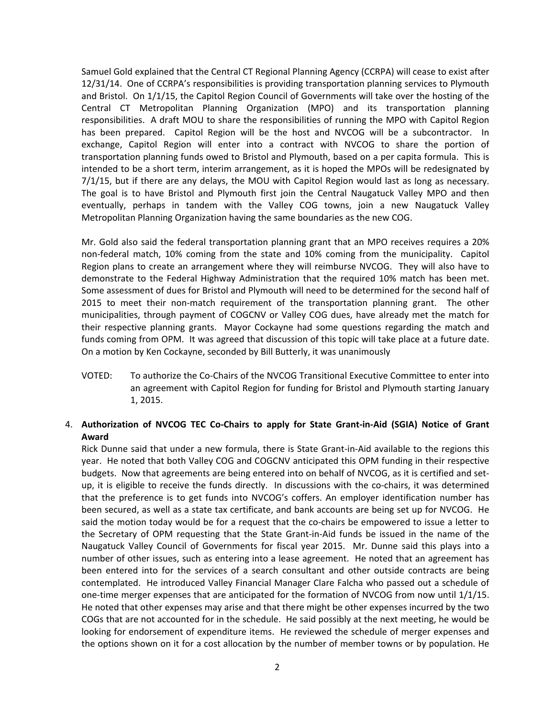Samuel Gold explained that the Central CT Regional Planning Agency (CCRPA) will cease to exist after 12/31/14. One of CCRPA's responsibilities is providing transportation planning services to Plymouth and Bristol. On 1/1/15, the Capitol Region Council of Governments will take over the hosting of the Central CT Metropolitan Planning Organization (MPO) and its transportation planning responsibilities. A draft MOU to share the responsibilities of running the MPO with Capitol Region has been prepared. Capitol Region will be the host and NVCOG will be a subcontractor. In exchange, Capitol Region will enter into a contract with NVCOG to share the portion of transportation planning funds owed to Bristol and Plymouth, based on a per capita formula. This is intended to be a short term, interim arrangement, as it is hoped the MPOs will be redesignated by 7/1/15, but if there are any delays, the MOU with Capitol Region would last as long as necessary. The goal is to have Bristol and Plymouth first join the Central Naugatuck Valley MPO and then eventually, perhaps in tandem with the Valley COG towns, join a new Naugatuck Valley Metropolitan Planning Organization having the same boundaries as the new COG.

Mr. Gold also said the federal transportation planning grant that an MPO receives requires a 20% non-federal match, 10% coming from the state and 10% coming from the municipality. Capitol Region plans to create an arrangement where they will reimburse NVCOG. They will also have to demonstrate to the Federal Highway Administration that the required 10% match has been met. Some assessment of dues for Bristol and Plymouth will need to be determined for the second half of 2015 to meet their non-match requirement of the transportation planning grant. The other municipalities, through payment of COGCNV or Valley COG dues, have already met the match for their respective planning grants. Mayor Cockayne had some questions regarding the match and funds coming from OPM. It was agreed that discussion of this topic will take place at a future date. On a motion by Ken Cockayne, seconded by Bill Butterly, it was unanimously

VOTED: To authorize the Co‐Chairs of the NVCOG Transitional Executive Committee to enter into an agreement with Capitol Region for funding for Bristol and Plymouth starting January 1, 2015.

## 4. Authorization of NVCOG TEC Co-Chairs to apply for State Grant-in-Aid (SGIA) Notice of Grant **Award**

Rick Dunne said that under a new formula, there is State Grant-in-Aid available to the regions this year. He noted that both Valley COG and COGCNV anticipated this OPM funding in their respective budgets. Now that agreements are being entered into on behalf of NVCOG, as it is certified and set‐ up, it is eligible to receive the funds directly. In discussions with the co‐chairs, it was determined that the preference is to get funds into NVCOG's coffers. An employer identification number has been secured, as well as a state tax certificate, and bank accounts are being set up for NVCOG. He said the motion today would be for a request that the co-chairs be empowered to issue a letter to the Secretary of OPM requesting that the State Grant‐in‐Aid funds be issued in the name of the Naugatuck Valley Council of Governments for fiscal year 2015. Mr. Dunne said this plays into a number of other issues, such as entering into a lease agreement. He noted that an agreement has been entered into for the services of a search consultant and other outside contracts are being contemplated. He introduced Valley Financial Manager Clare Falcha who passed out a schedule of one-time merger expenses that are anticipated for the formation of NVCOG from now until 1/1/15. He noted that other expenses may arise and that there might be other expenses incurred by the two COGs that are not accounted for in the schedule. He said possibly at the next meeting, he would be looking for endorsement of expenditure items. He reviewed the schedule of merger expenses and the options shown on it for a cost allocation by the number of member towns or by population. He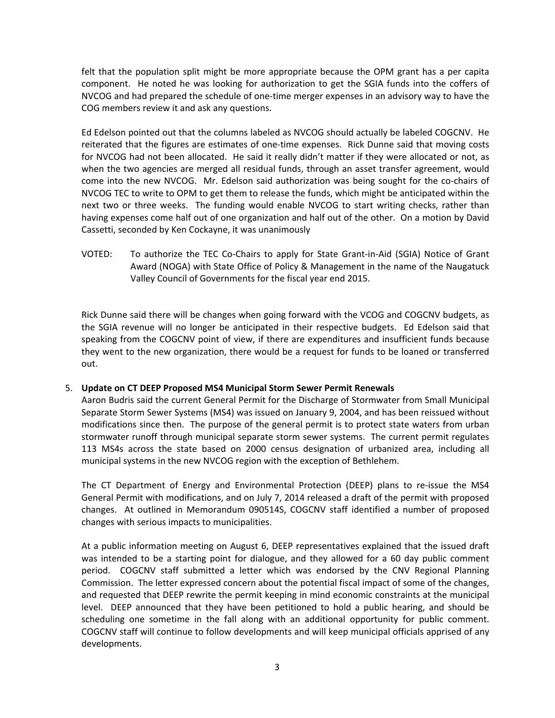felt that the population split might be more appropriate because the OPM grant has a per capita component. He noted he was looking for authorization to get the SGIA funds into the coffers of NVCOG and had prepared the schedule of one‐time merger expenses in an advisory way to have the COG members review it and ask any questions.

Ed Edelson pointed out that the columns labeled as NVCOG should actually be labeled COGCNV. He reiterated that the figures are estimates of one-time expenses. Rick Dunne said that moving costs for NVCOG had not been allocated. He said it really didn't matter if they were allocated or not, as when the two agencies are merged all residual funds, through an asset transfer agreement, would come into the new NVCOG. Mr. Edelson said authorization was being sought for the co‐chairs of NVCOG TEC to write to OPM to get them to release the funds, which might be anticipated within the next two or three weeks. The funding would enable NVCOG to start writing checks, rather than having expenses come half out of one organization and half out of the other. On a motion by David Cassetti, seconded by Ken Cockayne, it was unanimously

VOTED: To authorize the TEC Co‐Chairs to apply for State Grant‐in‐Aid (SGIA) Notice of Grant Award (NOGA) with State Office of Policy & Management in the name of the Naugatuck Valley Council of Governments for the fiscal year end 2015.

Rick Dunne said there will be changes when going forward with the VCOG and COGCNV budgets, as the SGIA revenue will no longer be anticipated in their respective budgets. Ed Edelson said that speaking from the COGCNV point of view, if there are expenditures and insufficient funds because they went to the new organization, there would be a request for funds to be loaned or transferred out.

### 5. **Update on CT DEEP Proposed MS4 Municipal Storm Sewer Permit Renewals**

Aaron Budris said the current General Permit for the Discharge of Stormwater from Small Municipal Separate Storm Sewer Systems (MS4) was issued on January 9, 2004, and has been reissued without modifications since then. The purpose of the general permit is to protect state waters from urban stormwater runoff through municipal separate storm sewer systems. The current permit regulates 113 MS4s across the state based on 2000 census designation of urbanized area, including all municipal systems in the new NVCOG region with the exception of Bethlehem.

The CT Department of Energy and Environmental Protection (DEEP) plans to re‐issue the MS4 General Permit with modifications, and on July 7, 2014 released a draft of the permit with proposed changes. At outlined in Memorandum 090514S, COGCNV staff identified a number of proposed changes with serious impacts to municipalities.

At a public information meeting on August 6, DEEP representatives explained that the issued draft was intended to be a starting point for dialogue, and they allowed for a 60 day public comment period. COGCNV staff submitted a letter which was endorsed by the CNV Regional Planning Commission. The letter expressed concern about the potential fiscal impact of some of the changes, and requested that DEEP rewrite the permit keeping in mind economic constraints at the municipal level. DEEP announced that they have been petitioned to hold a public hearing, and should be scheduling one sometime in the fall along with an additional opportunity for public comment. COGCNV staff will continue to follow developments and will keep municipal officials apprised of any developments.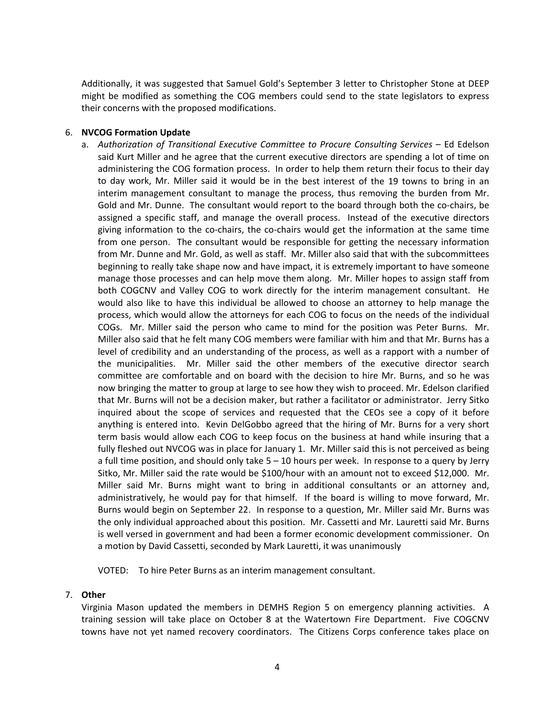Additionally, it was suggested that Samuel Gold's September 3 letter to Christopher Stone at DEEP might be modified as something the COG members could send to the state legislators to express their concerns with the proposed modifications.

### 6. **NVCOG Formation Update**

a. *Authorization of Transitional Executive Committee to Procure Consulting Services* – Ed Edelson said Kurt Miller and he agree that the current executive directors are spending a lot of time on administering the COG formation process. In order to help them return their focus to their day to day work, Mr. Miller said it would be in the best interest of the 19 towns to bring in an interim management consultant to manage the process, thus removing the burden from Mr. Gold and Mr. Dunne. The consultant would report to the board through both the co-chairs, be assigned a specific staff, and manage the overall process. Instead of the executive directors giving information to the co‐chairs, the co‐chairs would get the information at the same time from one person. The consultant would be responsible for getting the necessary information from Mr. Dunne and Mr. Gold, as well as staff. Mr. Miller also said that with the subcommittees beginning to really take shape now and have impact, it is extremely important to have someone manage those processes and can help move them along. Mr. Miller hopes to assign staff from both COGCNV and Valley COG to work directly for the interim management consultant. He would also like to have this individual be allowed to choose an attorney to help manage the process, which would allow the attorneys for each COG to focus on the needs of the individual COGs. Mr. Miller said the person who came to mind for the position was Peter Burns. Mr. Miller also said that he felt many COG members were familiar with him and that Mr. Burns has a level of credibility and an understanding of the process, as well as a rapport with a number of the municipalities. Mr. Miller said the other members of the executive director search committee are comfortable and on board with the decision to hire Mr. Burns, and so he was now bringing the matter to group at large to see how they wish to proceed. Mr. Edelson clarified that Mr. Burns will not be a decision maker, but rather a facilitator or administrator. Jerry Sitko inquired about the scope of services and requested that the CEOs see a copy of it before anything is entered into. Kevin DelGobbo agreed that the hiring of Mr. Burns for a very short term basis would allow each COG to keep focus on the business at hand while insuring that a fully fleshed out NVCOG was in place for January 1. Mr. Miller said this is not perceived as being a full time position, and should only take 5 – 10 hours per week. In response to a query by Jerry Sitko, Mr. Miller said the rate would be \$100/hour with an amount not to exceed \$12,000. Mr. Miller said Mr. Burns might want to bring in additional consultants or an attorney and, administratively, he would pay for that himself. If the board is willing to move forward, Mr. Burns would begin on September 22. In response to a question, Mr. Miller said Mr. Burns was the only individual approached about this position. Mr. Cassetti and Mr. Lauretti said Mr. Burns is well versed in government and had been a former economic development commissioner. On a motion by David Cassetti, seconded by Mark Lauretti, it was unanimously

VOTED: To hire Peter Burns as an interim management consultant.

### 7. **Other**

Virginia Mason updated the members in DEMHS Region 5 on emergency planning activities. A training session will take place on October 8 at the Watertown Fire Department. Five COGCNV towns have not yet named recovery coordinators. The Citizens Corps conference takes place on